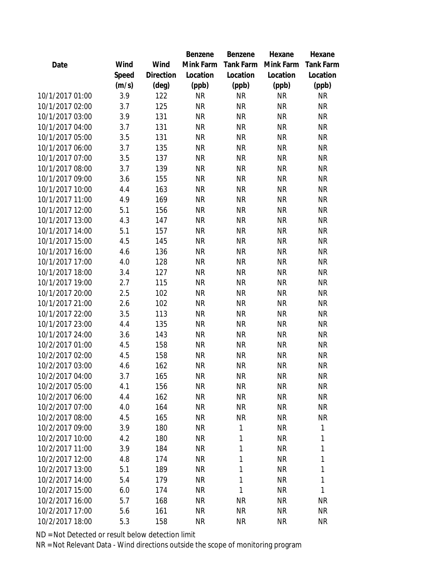|                 |       |                | Benzene   | Benzene   | Hexane    | Hexane           |
|-----------------|-------|----------------|-----------|-----------|-----------|------------------|
| Date            | Wind  | Wind           | Mink Farm | Tank Farm | Mink Farm | <b>Tank Farm</b> |
|                 | Speed | Direction      | Location  | Location  | Location  | Location         |
|                 | (m/s) | $(\text{deg})$ | (ppb)     | (ppb)     | (ppb)     | (ppb)            |
| 10/1/2017 01:00 | 3.9   | 122            | <b>NR</b> | <b>NR</b> | <b>NR</b> | <b>NR</b>        |
| 10/1/2017 02:00 | 3.7   | 125            | <b>NR</b> | <b>NR</b> | <b>NR</b> | <b>NR</b>        |
| 10/1/2017 03:00 | 3.9   | 131            | <b>NR</b> | <b>NR</b> | <b>NR</b> | <b>NR</b>        |
| 10/1/2017 04:00 | 3.7   | 131            | <b>NR</b> | <b>NR</b> | <b>NR</b> | <b>NR</b>        |
| 10/1/2017 05:00 | 3.5   | 131            | <b>NR</b> | <b>NR</b> | <b>NR</b> | <b>NR</b>        |
| 10/1/2017 06:00 | 3.7   | 135            | <b>NR</b> | <b>NR</b> | <b>NR</b> | <b>NR</b>        |
| 10/1/2017 07:00 | 3.5   | 137            | <b>NR</b> | <b>NR</b> | <b>NR</b> | <b>NR</b>        |
| 10/1/2017 08:00 | 3.7   | 139            | <b>NR</b> | <b>NR</b> | <b>NR</b> | <b>NR</b>        |
| 10/1/2017 09:00 | 3.6   | 155            | <b>NR</b> | <b>NR</b> | <b>NR</b> | <b>NR</b>        |
| 10/1/2017 10:00 | 4.4   | 163            | <b>NR</b> | <b>NR</b> | <b>NR</b> | <b>NR</b>        |
| 10/1/2017 11:00 | 4.9   | 169            | <b>NR</b> | <b>NR</b> | <b>NR</b> | <b>NR</b>        |
| 10/1/2017 12:00 | 5.1   | 156            | <b>NR</b> | <b>NR</b> | <b>NR</b> | <b>NR</b>        |
| 10/1/2017 13:00 | 4.3   | 147            | <b>NR</b> | <b>NR</b> | <b>NR</b> | <b>NR</b>        |
| 10/1/2017 14:00 | 5.1   | 157            | <b>NR</b> | <b>NR</b> | <b>NR</b> | <b>NR</b>        |
| 10/1/2017 15:00 | 4.5   | 145            | <b>NR</b> | <b>NR</b> | <b>NR</b> | <b>NR</b>        |
| 10/1/2017 16:00 | 4.6   | 136            | <b>NR</b> | <b>NR</b> | <b>NR</b> | <b>NR</b>        |
| 10/1/2017 17:00 | 4.0   | 128            | <b>NR</b> | <b>NR</b> | <b>NR</b> | <b>NR</b>        |
| 10/1/2017 18:00 | 3.4   | 127            | <b>NR</b> | <b>NR</b> | <b>NR</b> | <b>NR</b>        |
| 10/1/2017 19:00 | 2.7   | 115            | <b>NR</b> | <b>NR</b> | <b>NR</b> | <b>NR</b>        |
| 10/1/2017 20:00 | 2.5   | 102            | <b>NR</b> | <b>NR</b> | <b>NR</b> | <b>NR</b>        |
| 10/1/2017 21:00 | 2.6   | 102            | <b>NR</b> | <b>NR</b> | <b>NR</b> | <b>NR</b>        |
| 10/1/2017 22:00 | 3.5   | 113            | <b>NR</b> | <b>NR</b> | <b>NR</b> | <b>NR</b>        |
| 10/1/2017 23:00 | 4.4   | 135            | <b>NR</b> | <b>NR</b> | <b>NR</b> | <b>NR</b>        |
| 10/1/2017 24:00 | 3.6   | 143            | <b>NR</b> | <b>NR</b> | <b>NR</b> | <b>NR</b>        |
| 10/2/2017 01:00 | 4.5   | 158            | <b>NR</b> | <b>NR</b> | <b>NR</b> | <b>NR</b>        |
| 10/2/2017 02:00 | 4.5   | 158            | <b>NR</b> | <b>NR</b> | <b>NR</b> | <b>NR</b>        |
| 10/2/2017 03:00 | 4.6   | 162            | <b>NR</b> | <b>NR</b> | <b>NR</b> | <b>NR</b>        |
| 10/2/2017 04:00 | 3.7   | 165            | <b>NR</b> | <b>NR</b> | <b>NR</b> | <b>NR</b>        |
| 10/2/2017 05:00 | 4.1   | 156            | <b>NR</b> | <b>NR</b> | <b>NR</b> | <b>NR</b>        |
| 10/2/2017 06:00 | 4.4   | 162            | <b>NR</b> | <b>NR</b> | <b>NR</b> | <b>NR</b>        |
| 10/2/2017 07:00 | 4.0   | 164            | <b>NR</b> | <b>NR</b> | <b>NR</b> | <b>NR</b>        |
| 10/2/2017 08:00 | 4.5   | 165            | <b>NR</b> | <b>NR</b> | <b>NR</b> | <b>NR</b>        |
| 10/2/2017 09:00 | 3.9   | 180            | <b>NR</b> | 1         | <b>NR</b> | 1                |
| 10/2/2017 10:00 | 4.2   | 180            | <b>NR</b> | 1         | <b>NR</b> | 1                |
| 10/2/2017 11:00 | 3.9   | 184            | <b>NR</b> | 1         | <b>NR</b> | 1                |
| 10/2/2017 12:00 | 4.8   | 174            | <b>NR</b> | 1         | <b>NR</b> | 1                |
| 10/2/2017 13:00 | 5.1   | 189            | <b>NR</b> | 1         | <b>NR</b> | 1                |
| 10/2/2017 14:00 | 5.4   | 179            | <b>NR</b> | 1         | <b>NR</b> | 1                |
| 10/2/2017 15:00 | 6.0   | 174            | <b>NR</b> | 1         | <b>NR</b> | 1                |
| 10/2/2017 16:00 | 5.7   | 168            | NR        | <b>NR</b> | <b>NR</b> | <b>NR</b>        |
| 10/2/2017 17:00 | 5.6   | 161            | <b>NR</b> | <b>NR</b> | <b>NR</b> | <b>NR</b>        |
| 10/2/2017 18:00 | 5.3   | 158            | <b>NR</b> | <b>NR</b> | <b>NR</b> | <b>NR</b>        |
|                 |       |                |           |           |           |                  |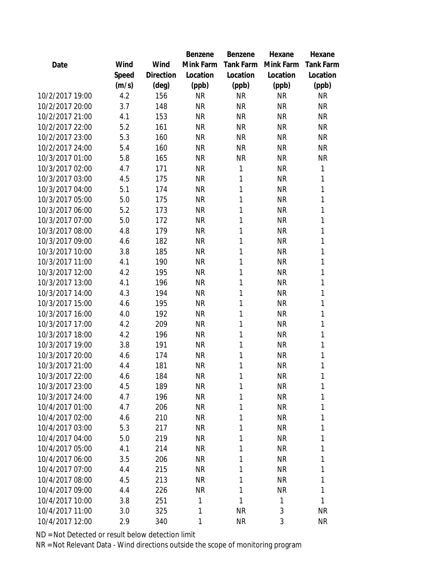|                 |       |           | Benzene   | Benzene          | Hexane    | Hexane           |
|-----------------|-------|-----------|-----------|------------------|-----------|------------------|
| Date            | Wind  | Wind      | Mink Farm | <b>Tank Farm</b> | Mink Farm | <b>Tank Farm</b> |
|                 | Speed | Direction | Location  | Location         | Location  | Location         |
|                 | (m/s) | (deg)     | (ppb)     | (ppb)            | (ppb)     | (ppb)            |
| 10/2/2017 19:00 | 4.2   | 156       | <b>NR</b> | <b>NR</b>        | <b>NR</b> | <b>NR</b>        |
| 10/2/2017 20:00 | 3.7   | 148       | <b>NR</b> | <b>NR</b>        | <b>NR</b> | <b>NR</b>        |
| 10/2/2017 21:00 | 4.1   | 153       | <b>NR</b> | <b>NR</b>        | <b>NR</b> | <b>NR</b>        |
| 10/2/2017 22:00 | 5.2   | 161       | <b>NR</b> | <b>NR</b>        | <b>NR</b> | <b>NR</b>        |
| 10/2/2017 23:00 | 5.3   | 160       | <b>NR</b> | <b>NR</b>        | <b>NR</b> | <b>NR</b>        |
| 10/2/2017 24:00 | 5.4   | 160       | <b>NR</b> | <b>NR</b>        | <b>NR</b> | <b>NR</b>        |
| 10/3/2017 01:00 | 5.8   | 165       | <b>NR</b> | <b>NR</b>        | <b>NR</b> | <b>NR</b>        |
| 10/3/2017 02:00 | 4.7   | 171       | <b>NR</b> | 1                | <b>NR</b> | 1                |
| 10/3/2017 03:00 | 4.5   | 175       | <b>NR</b> | 1                | <b>NR</b> | 1                |
| 10/3/2017 04:00 | 5.1   | 174       | <b>NR</b> | 1                | <b>NR</b> | 1                |
| 10/3/2017 05:00 | 5.0   | 175       | <b>NR</b> | 1                | <b>NR</b> | 1                |
| 10/3/2017 06:00 | 5.2   | 173       | <b>NR</b> | 1                | <b>NR</b> | 1                |
| 10/3/2017 07:00 | 5.0   | 172       | <b>NR</b> | 1                | <b>NR</b> | 1                |
| 10/3/2017 08:00 | 4.8   | 179       | <b>NR</b> | 1                | <b>NR</b> | 1                |
| 10/3/2017 09:00 | 4.6   | 182       | <b>NR</b> | 1                | <b>NR</b> | 1                |
| 10/3/2017 10:00 | 3.8   | 185       | <b>NR</b> | 1                | <b>NR</b> | 1                |
| 10/3/2017 11:00 | 4.1   | 190       | <b>NR</b> | 1                | <b>NR</b> | 1                |
| 10/3/2017 12:00 | 4.2   | 195       | <b>NR</b> | 1                | <b>NR</b> | 1                |
| 10/3/2017 13:00 | 4.1   | 196       | <b>NR</b> | 1                | <b>NR</b> | 1                |
| 10/3/2017 14:00 | 4.3   | 194       | <b>NR</b> | 1                | <b>NR</b> | 1                |
| 10/3/2017 15:00 | 4.6   | 195       | <b>NR</b> | 1                | <b>NR</b> | 1                |
| 10/3/2017 16:00 | 4.0   | 192       | <b>NR</b> | 1                | <b>NR</b> | 1                |
| 10/3/2017 17:00 | 4.2   | 209       | <b>NR</b> | 1                | <b>NR</b> | 1                |
| 10/3/2017 18:00 | 4.2   | 196       | <b>NR</b> | 1                | <b>NR</b> | 1                |
| 10/3/2017 19:00 | 3.8   | 191       | <b>NR</b> | 1                | <b>NR</b> | 1                |
| 10/3/2017 20:00 | 4.6   | 174       | <b>NR</b> | 1                | <b>NR</b> | 1                |
| 10/3/2017 21:00 | 4.4   | 181       | <b>NR</b> | 1                | NR        | 1                |
| 10/3/2017 22:00 | 4.6   | 184       | <b>NR</b> | 1                | <b>NR</b> | 1                |
| 10/3/2017 23:00 | 4.5   | 189       | <b>NR</b> | 1                | <b>NR</b> | 1                |
| 10/3/2017 24:00 | 4.7   | 196       | <b>NR</b> | 1                | <b>NR</b> | 1                |
| 10/4/2017 01:00 | 4.7   | 206       | <b>NR</b> | 1                | <b>NR</b> | 1                |
| 10/4/2017 02:00 | 4.6   | 210       | <b>NR</b> | 1                | <b>NR</b> | 1                |
| 10/4/2017 03:00 | 5.3   | 217       | <b>NR</b> | 1                | <b>NR</b> | 1                |
| 10/4/2017 04:00 | 5.0   | 219       | <b>NR</b> | 1                | <b>NR</b> | 1                |
| 10/4/2017 05:00 | 4.1   | 214       | <b>NR</b> | 1                | <b>NR</b> | 1                |
| 10/4/2017 06:00 | 3.5   | 206       | <b>NR</b> | 1                | <b>NR</b> | 1                |
| 10/4/2017 07:00 | 4.4   | 215       | <b>NR</b> | 1                | <b>NR</b> | 1                |
| 10/4/2017 08:00 | 4.5   | 213       | <b>NR</b> | 1                | <b>NR</b> | 1                |
| 10/4/2017 09:00 | 4.4   | 226       | <b>NR</b> | 1                | <b>NR</b> | 1                |
| 10/4/2017 10:00 | 3.8   | 251       | 1         | 1                | 1         | 1                |
| 10/4/2017 11:00 | 3.0   | 325       | 1         | <b>NR</b>        | 3         | <b>NR</b>        |
| 10/4/2017 12:00 | 2.9   | 340       | 1         | <b>NR</b>        | 3         | <b>NR</b>        |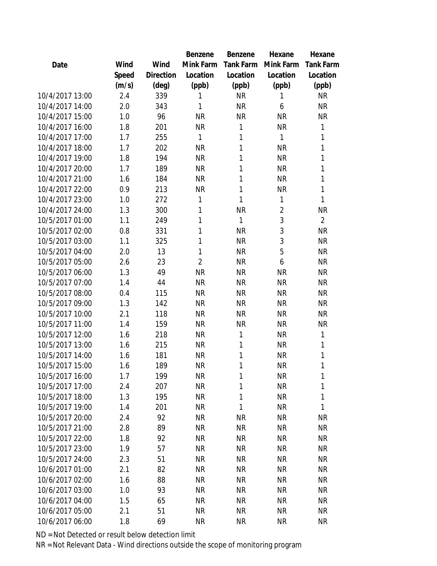|                 |       |           | Benzene        | Benzene          | Hexane         | Hexane           |
|-----------------|-------|-----------|----------------|------------------|----------------|------------------|
| Date            | Wind  | Wind      | Mink Farm      | <b>Tank Farm</b> | Mink Farm      | <b>Tank Farm</b> |
|                 | Speed | Direction | Location       | Location         | Location       | Location         |
|                 | (m/s) | (deg)     | (ppb)          | (ppb)            | (ppb)          | (ppb)            |
| 10/4/2017 13:00 | 2.4   | 339       | 1              | <b>NR</b>        | 1              | <b>NR</b>        |
| 10/4/2017 14:00 | 2.0   | 343       | 1              | <b>NR</b>        | 6              | <b>NR</b>        |
| 10/4/2017 15:00 | 1.0   | 96        | <b>NR</b>      | <b>NR</b>        | <b>NR</b>      | <b>NR</b>        |
| 10/4/2017 16:00 | 1.8   | 201       | <b>NR</b>      | 1                | <b>NR</b>      | 1                |
| 10/4/2017 17:00 | 1.7   | 255       | 1              | 1                | 1              | 1                |
| 10/4/2017 18:00 | 1.7   | 202       | <b>NR</b>      | 1                | <b>NR</b>      | 1                |
| 10/4/2017 19:00 | 1.8   | 194       | <b>NR</b>      | 1                | <b>NR</b>      | 1                |
| 10/4/2017 20:00 | 1.7   | 189       | <b>NR</b>      | 1                | <b>NR</b>      | 1                |
| 10/4/2017 21:00 | 1.6   | 184       | <b>NR</b>      | 1                | <b>NR</b>      | 1                |
| 10/4/2017 22:00 | 0.9   | 213       | <b>NR</b>      | 1                | <b>NR</b>      | 1                |
| 10/4/2017 23:00 | 1.0   | 272       | 1              | 1                | 1              | 1                |
| 10/4/2017 24:00 | 1.3   | 300       | 1              | <b>NR</b>        | $\overline{2}$ | <b>NR</b>        |
| 10/5/2017 01:00 | 1.1   | 249       | 1              | 1                | 3              | $\overline{2}$   |
| 10/5/2017 02:00 | 0.8   | 331       | 1              | <b>NR</b>        | 3              | <b>NR</b>        |
| 10/5/2017 03:00 | 1.1   | 325       | 1              | <b>NR</b>        | 3              | <b>NR</b>        |
| 10/5/2017 04:00 | 2.0   | 13        | 1              | <b>NR</b>        | 5              | <b>NR</b>        |
| 10/5/2017 05:00 | 2.6   | 23        | $\overline{2}$ | <b>NR</b>        | 6              | <b>NR</b>        |
| 10/5/2017 06:00 | 1.3   | 49        | <b>NR</b>      | <b>NR</b>        | <b>NR</b>      | <b>NR</b>        |
| 10/5/2017 07:00 | 1.4   | 44        | <b>NR</b>      | <b>NR</b>        | <b>NR</b>      | <b>NR</b>        |
| 10/5/2017 08:00 | 0.4   | 115       | <b>NR</b>      | <b>NR</b>        | <b>NR</b>      | <b>NR</b>        |
| 10/5/2017 09:00 | 1.3   | 142       | <b>NR</b>      | <b>NR</b>        | <b>NR</b>      | <b>NR</b>        |
| 10/5/2017 10:00 | 2.1   | 118       | <b>NR</b>      | <b>NR</b>        | <b>NR</b>      | <b>NR</b>        |
| 10/5/2017 11:00 | 1.4   | 159       | <b>NR</b>      | <b>NR</b>        | <b>NR</b>      | <b>NR</b>        |
| 10/5/2017 12:00 | 1.6   | 218       | <b>NR</b>      | 1                | <b>NR</b>      | 1                |
| 10/5/2017 13:00 | 1.6   | 215       | <b>NR</b>      | 1                | <b>NR</b>      | 1                |
| 10/5/2017 14:00 | 1.6   | 181       | <b>NR</b>      | 1                | <b>NR</b>      | 1                |
| 10/5/2017 15:00 | 1.6   | 189       | <b>NR</b>      | 1                | <b>NR</b>      | 1                |
| 10/5/2017 16:00 | 1.7   | 199       | <b>NR</b>      | 1                | <b>NR</b>      | 1                |
| 10/5/2017 17:00 | 2.4   | 207       | <b>NR</b>      | 1                | <b>NR</b>      | 1                |
| 10/5/2017 18:00 | 1.3   | 195       | <b>NR</b>      | 1                | <b>NR</b>      | 1                |
| 10/5/2017 19:00 | 1.4   | 201       | <b>NR</b>      | 1                | <b>NR</b>      | 1                |
| 10/5/2017 20:00 | 2.4   | 92        | <b>NR</b>      | <b>NR</b>        | <b>NR</b>      | <b>NR</b>        |
| 10/5/2017 21:00 | 2.8   | 89        | <b>NR</b>      | <b>NR</b>        | <b>NR</b>      | <b>NR</b>        |
| 10/5/2017 22:00 | 1.8   | 92        | <b>NR</b>      | <b>NR</b>        | <b>NR</b>      | <b>NR</b>        |
| 10/5/2017 23:00 | 1.9   | 57        | <b>NR</b>      | <b>NR</b>        | <b>NR</b>      | <b>NR</b>        |
| 10/5/2017 24:00 | 2.3   | 51        | <b>NR</b>      | <b>NR</b>        | <b>NR</b>      | <b>NR</b>        |
| 10/6/2017 01:00 | 2.1   | 82        | <b>NR</b>      | <b>NR</b>        | <b>NR</b>      | <b>NR</b>        |
| 10/6/2017 02:00 | 1.6   | 88        | <b>NR</b>      | <b>NR</b>        | <b>NR</b>      | <b>NR</b>        |
| 10/6/2017 03:00 | 1.0   | 93        | <b>NR</b>      | <b>NR</b>        | <b>NR</b>      | <b>NR</b>        |
| 10/6/2017 04:00 | 1.5   | 65        | NR             | <b>NR</b>        | <b>NR</b>      | <b>NR</b>        |
| 10/6/2017 05:00 | 2.1   | 51        | <b>NR</b>      | <b>NR</b>        | <b>NR</b>      | <b>NR</b>        |
| 10/6/2017 06:00 | 1.8   | 69        | <b>NR</b>      | <b>NR</b>        | <b>NR</b>      | <b>NR</b>        |
|                 |       |           |                |                  |                |                  |